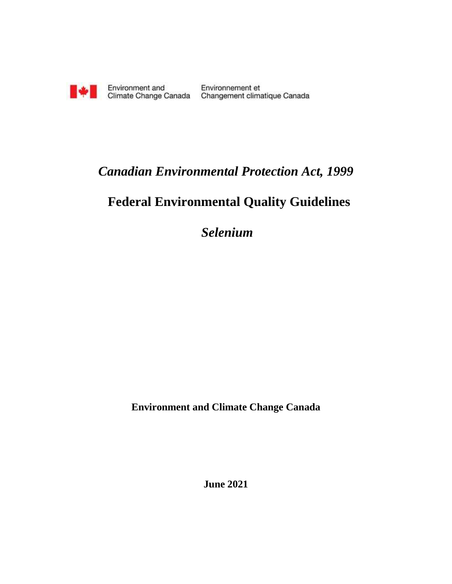

Environment and Environnement et<br>Climate Change Canada Changement climatique Canada

## *Canadian Environmental Protection Act, 1999*

# **Federal Environmental Quality Guidelines**

*Selenium*

**Environment and Climate Change Canada**

**June 2021**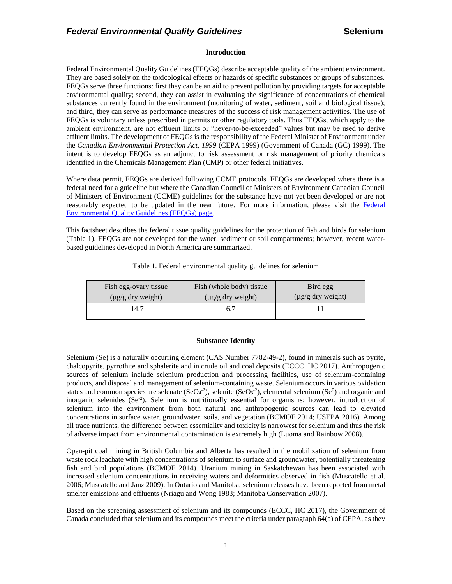#### **Introduction**

Federal Environmental Quality Guidelines (FEQGs) describe acceptable quality of the ambient environment. They are based solely on the toxicological effects or hazards of specific substances or groups of substances. FEQGs serve three functions: first they can be an aid to prevent pollution by providing targets for acceptable environmental quality; second, they can assist in evaluating the significance of concentrations of chemical substances currently found in the environment (monitoring of water, sediment, soil and biological tissue); and third, they can serve as performance measures of the success of risk management activities. The use of FEQGs is voluntary unless prescribed in permits or other regulatory tools. Thus FEQGs, which apply to the ambient environment, are not effluent limits or "never-to-be-exceeded" values but may be used to derive effluent limits. The development of FEQGs is the responsibility of the Federal Minister of Environment under the *Canadian Environmental Protection Act, 1999* (CEPA 1999) (Government of Canada (GC) 1999). The intent is to develop FEQGs as an adjunct to risk assessment or risk management of priority chemicals identified in the Chemicals Management Plan (CMP) or other federal initiatives.

Where data permit, FEQGs are derived following CCME protocols. FEQGs are developed where there is a federal need for a guideline but where the Canadian Council of Ministers of Environment Canadian Council of Ministers of Environment (CCME) guidelines for the substance have not yet been developed or are not reasonably expected to be updated in the near future. For more information, please visit the [Federal](https://www.canada.ca/en/health-canada/services/chemical-substances/fact-sheets/federal-environmental-quality-guidelines.html)  [Environmental Quality Guidelines \(FEQGs\) page.](https://www.canada.ca/en/health-canada/services/chemical-substances/fact-sheets/federal-environmental-quality-guidelines.html)

This factsheet describes the federal tissue quality guidelines for the protection of fish and birds for selenium (Table 1). FEQGs are not developed for the water, sediment or soil compartments; however, recent waterbased guidelines developed in North America are summarized.

| Fish egg-ovary tissue  | Fish (whole body) tissue | Bird egg               |  |  |
|------------------------|--------------------------|------------------------|--|--|
| $(\mu g/g$ dry weight) | $(\mu g/g$ dry weight)   | $(\mu g/g$ dry weight) |  |  |
| 14.7                   | 6.7                      |                        |  |  |

Table 1. Federal environmental quality guidelines for selenium

#### **Substance Identity**

Selenium (Se) is a naturally occurring element (CAS Number 7782-49-2), found in minerals such as pyrite, chalcopyrite, pyrrothite and sphalerite and in crude oil and coal deposits (ECCC, HC 2017). Anthropogenic sources of selenium include selenium production and processing facilities, use of selenium-containing products, and disposal and management of selenium-containing waste. Selenium occurs in various oxidation states and common species are selenate  $(SeO<sub>4</sub><sup>-2</sup>)$ , selenite  $(SeO<sub>3</sub><sup>-2</sup>)$ , elemental selenium  $(Se<sup>0</sup>)$  and organic and inorganic selenides (Se<sup>-2</sup>). Selenium is nutritionally essential for organisms; however, introduction of selenium into the environment from both natural and anthropogenic sources can lead to elevated concentrations in surface water, groundwater, soils, and vegetation (BCMOE 2014; USEPA 2016). Among all trace nutrients, the difference between essentiality and toxicity is narrowest for selenium and thus the risk of adverse impact from environmental contamination is extremely high (Luoma and Rainbow 2008).

Open-pit coal mining in British Columbia and Alberta has resulted in the mobilization of selenium from waste rock leachate with high concentrations of selenium to surface and groundwater, potentially threatening fish and bird populations (BCMOE 2014). Uranium mining in Saskatchewan has been associated with increased selenium concentrations in receiving waters and deformities observed in fish (Muscatello et al. 2006; Muscatello and Janz 2009). In Ontario and Manitoba, selenium releases have been reported from metal smelter emissions and effluents (Nriagu and Wong 1983; Manitoba Conservation 2007).

Based on the screening assessment of selenium and its compounds (ECCC, HC 2017), the Government of Canada concluded that selenium and its compounds meet the criteria under paragraph 64(a) of CEPA, as they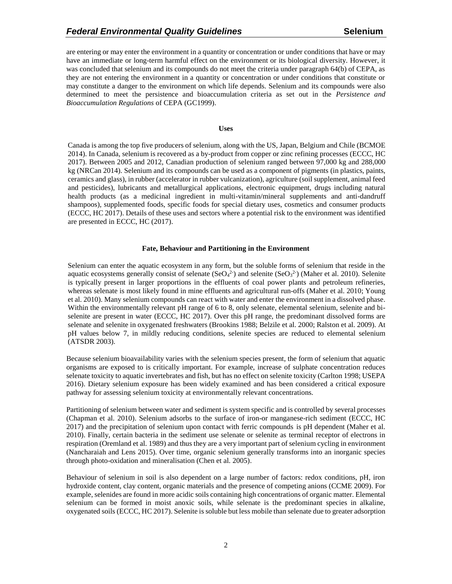are entering or may enter the environment in a quantity or concentration or under conditions that have or may have an immediate or long-term harmful effect on the environment or its biological diversity. However, it was concluded that selenium and its compounds do not meet the criteria under paragraph 64(b) of CEPA, as they are not entering the environment in a quantity or concentration or under conditions that constitute or may constitute a danger to the environment on which life depends. Selenium and its compounds were also determined to meet the persistence and bioaccumulation criteria as set out in the *Persistence and Bioaccumulation Regulations* of CEPA (GC1999).

#### **Uses**

Canada is among the top five producers of selenium, along with the US, Japan, Belgium and Chile (BCMOE 2014). In Canada, selenium is recovered as a by-product from copper or zinc refining processes (ECCC, HC 2017). Between 2005 and 2012, Canadian production of selenium ranged between 97,000 kg and 288,000 kg (NRCan 2014). Selenium and its compounds can be used as a component of pigments (in plastics, paints, ceramics and glass), in rubber (accelerator in rubber vulcanization), agriculture (soil supplement, animal feed and pesticides), lubricants and metallurgical applications, electronic equipment, drugs including natural health products (as a medicinal ingredient in multi-vitamin/mineral supplements and anti-dandruff shampoos), supplemented foods, specific foods for special dietary uses, cosmetics and consumer products (ECCC, HC 2017). Details of these uses and sectors where a potential risk to the environment was identified are presented in ECCC, HC (2017).

#### **Fate, Behaviour and Partitioning in the Environment**

Selenium can enter the aquatic ecosystem in any form, but the soluble forms of selenium that reside in the aquatic ecosystems generally consist of selenate (SeO<sub>4</sub><sup>2</sup>) and selenite (SeO<sub>3</sub><sup>2</sup>) (Maher et al. 2010). Selenite is typically present in larger proportions in the effluents of coal power plants and petroleum refineries, whereas selenate is most likely found in mine effluents and agricultural run-offs (Maher et al. 2010; Young et al. 2010). Many selenium compounds can react with water and enter the environment in a dissolved phase. Within the environmentally relevant pH range of 6 to 8, only selenate, elemental selenium, selenite and biselenite are present in water (ECCC, HC 2017). Over this pH range, the predominant dissolved forms are selenate and selenite in oxygenated freshwaters (Brookins 1988; Belzile et al. 2000; Ralston et al. 2009). At pH values below 7, in mildly reducing conditions, selenite species are reduced to elemental selenium (ATSDR 2003).

Because selenium bioavailability varies with the selenium species present, the form of selenium that aquatic organisms are exposed to is critically important. For example, increase of sulphate concentration reduces selenate toxicity to aquatic invertebrates and fish, but has no effect on selenite toxicity (Carlton 1998; USEPA 2016). Dietary selenium exposure has been widely examined and has been considered a critical exposure pathway for assessing selenium toxicity at environmentally relevant concentrations.

Partitioning of selenium between water and sediment is system specific and is controlled by several processes (Chapman et al. 2010). Selenium adsorbs to the surface of iron-or manganese-rich sediment (ECCC, HC 2017) and the precipitation of selenium upon contact with ferric compounds is pH dependent (Maher et al. 2010). Finally, certain bacteria in the sediment use selenate or selenite as terminal receptor of electrons in respiration (Oremland et al. 1989) and thus they are a very important part of selenium cycling in environment (Nancharaiah and Lens 2015). Over time, organic selenium generally transforms into an inorganic species through photo-oxidation and mineralisation (Chen et al. 2005).

Behaviour of selenium in soil is also dependent on a large number of factors: redox conditions, pH, iron hydroxide content, clay content, organic materials and the presence of competing anions (CCME 2009). For example, selenides are found in more acidic soils containing high concentrations of organic matter. Elemental selenium can be formed in moist anoxic soils, while selenate is the predominant species in alkaline, oxygenated soils (ECCC, HC 2017). Selenite is soluble but less mobile than selenate due to greater adsorption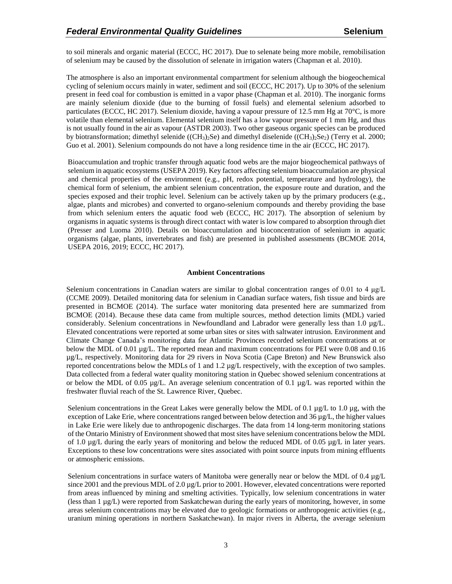to soil minerals and organic material (ECCC, HC 2017). Due to selenate being more mobile, remobilisation of selenium may be caused by the dissolution of selenate in irrigation waters (Chapman et al. 2010).

The atmosphere is also an important environmental compartment for selenium although the biogeochemical cycling of selenium occurs mainly in water, sediment and soil (ECCC, HC 2017). Up to 30% of the selenium present in feed coal for combustion is emitted in a vapor phase (Chapman et al. 2010). The inorganic forms are mainly selenium dioxide (due to the burning of fossil fuels) and elemental selenium adsorbed to particulates (ECCC, HC 2017). Selenium dioxide, having a vapour pressure of 12.5 mm Hg at 70°C, is more volatile than elemental selenium. Elemental selenium itself has a low vapour pressure of 1 mm Hg, and thus is not usually found in the air as vapour (ASTDR 2003). Two other gaseous organic species can be produced by biotransformation; dimethyl selenide  $((CH_3)_2Se)$  and dimethyl diselenide  $((CH_3)_2Se_2)$  (Terry et al. 2000; Guo et al. 2001). Selenium compounds do not have a long residence time in the air (ECCC, HC 2017).

Bioaccumulation and trophic transfer through aquatic food webs are the major biogeochemical pathways of selenium in aquatic ecosystems (USEPA 2019). Key factors affecting selenium bioaccumulation are physical and chemical properties of the environment (e.g., pH, redox potential, temperature and hydrology), the chemical form of selenium, the ambient selenium concentration, the exposure route and duration, and the species exposed and their trophic level. Selenium can be actively taken up by the primary producers (e.g., algae, plants and microbes) and converted to organo-selenium compounds and thereby providing the base from which selenium enters the aquatic food web (ECCC, HC 2017). The absorption of selenium by organisms in aquatic systems is through direct contact with water is low compared to absorption through diet (Presser and Luoma 2010). Details on bioaccumulation and bioconcentration of selenium in aquatic organisms (algae, plants, invertebrates and fish) are presented in published assessments (BCMOE 2014, USEPA 2016, 2019; ECCC, HC 2017).

#### **Ambient Concentrations**

Selenium concentrations in Canadian waters are similar to global concentration ranges of 0.01 to 4 μg/L (CCME 2009). Detailed monitoring data for selenium in Canadian surface waters, fish tissue and birds are presented in BCMOE (2014). The surface water monitoring data presented here are summarized from BCMOE (2014). Because these data came from multiple sources, method detection limits (MDL) varied considerably. Selenium concentrations in Newfoundland and Labrador were generally less than 1.0 µg/L. Elevated concentrations were reported at some urban sites or sites with saltwater intrusion. Environment and Climate Change Canada's monitoring data for Atlantic Provinces recorded selenium concentrations at or below the MDL of 0.01 µg/L. The reported mean and maximum concentrations for PEI were 0.08 and 0.16 µg/L, respectively. Monitoring data for 29 rivers in Nova Scotia (Cape Breton) and New Brunswick also reported concentrations below the MDLs of 1 and  $1.2 \mu g/L$  respectively, with the exception of two samples. Data collected from a federal water quality monitoring station in Quebec showed selenium concentrations at or below the MDL of 0.05  $\mu$ g/L. An average selenium concentration of 0.1  $\mu$ g/L was reported within the freshwater fluvial reach of the St. Lawrence River, Quebec.

Selenium concentrations in the Great Lakes were generally below the MDL of 0.1  $\mu$ g/L to 1.0  $\mu$ g, with the exception of Lake Erie, where concentrations ranged between below detection and  $36 \mu g/L$ , the higher values in Lake Erie were likely due to anthropogenic discharges. The data from 14 long-term monitoring stations of the Ontario Ministry of Environment showed that most sites have selenium concentrations below the MDL of 1.0  $\mu$ g/L during the early years of monitoring and below the reduced MDL of 0.05  $\mu$ g/L in later years. Exceptions to these low concentrations were sites associated with point source inputs from mining effluents or atmospheric emissions.

Selenium concentrations in surface waters of Manitoba were generally near or below the MDL of 0.4 µg/L since 2001 and the previous MDL of 2.0  $\mu$ g/L prior to 2001. However, elevated concentrations were reported from areas influenced by mining and smelting activities. Typically, low selenium concentrations in water (less than 1 µg/L) were reported from Saskatchewan during the early years of monitoring, however, in some areas selenium concentrations may be elevated due to geologic formations or anthropogenic activities (e.g., uranium mining operations in northern Saskatchewan). In major rivers in Alberta, the average selenium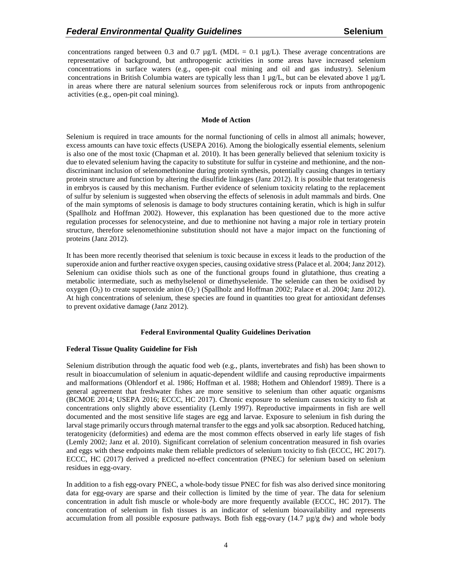concentrations ranged between 0.3 and 0.7  $\mu$ g/L (MDL = 0.1  $\mu$ g/L). These average concentrations are representative of background, but anthropogenic activities in some areas have increased selenium concentrations in surface waters (e.g., open-pit coal mining and oil and gas industry). Selenium concentrations in British Columbia waters are typically less than 1  $\mu g/L$ , but can be elevated above 1  $\mu g/L$ in areas where there are natural selenium sources from seleniferous rock or inputs from anthropogenic activities (e.g., open-pit coal mining).

#### **Mode of Action**

Selenium is required in trace amounts for the normal functioning of cells in almost all animals; however, excess amounts can have toxic effects (USEPA 2016). Among the biologically essential elements, selenium is also one of the most toxic (Chapman et al. 2010). It has been generally believed that selenium toxicity is due to elevated selenium having the capacity to substitute for sulfur in cysteine and methionine, and the nondiscriminant inclusion of selenomethionine during protein synthesis, potentially causing changes in tertiary protein structure and function by altering the disulfide linkages (Janz 2012). It is possible that teratogenesis in embryos is caused by this mechanism. Further evidence of selenium toxicity relating to the replacement of sulfur by selenium is suggested when observing the effects of selenosis in adult mammals and birds. One of the main symptoms of selenosis is damage to body structures containing keratin, which is high in sulfur (Spallholz and Hoffman 2002). However, this explanation has been questioned due to the more active regulation processes for selenocysteine, and due to methionine not having a major role in tertiary protein structure, therefore selenomethionine substitution should not have a major impact on the functioning of proteins (Janz 2012).

It has been more recently theorised that selenium is toxic because in excess it leads to the production of the superoxide anion and further reactive oxygen species, causing oxidative stress (Palace et al. 2004; Janz 2012). Selenium can oxidise thiols such as one of the functional groups found in glutathione, thus creating a metabolic intermediate, such as methylselenol or dimethyselenide. The selenide can then be oxidised by oxygen  $(O_2)$  to create superoxide anion  $(O_2)$  (Spallholz and Hoffman 2002; Palace et al. 2004; Janz 2012). At high concentrations of selenium, these species are found in quantities too great for antioxidant defenses to prevent oxidative damage (Janz 2012).

## **Federal Environmental Quality Guidelines Derivation**

## **Federal Tissue Quality Guideline for Fish**

Selenium distribution through the aquatic food web (e.g., plants, invertebrates and fish) has been shown to result in bioaccumulation of selenium in aquatic-dependent wildlife and causing reproductive impairments and malformations (Ohlendorf et al. 1986; Hoffman et al. 1988; Hothem and Ohlendorf 1989). There is a general agreement that freshwater fishes are more sensitive to selenium than other aquatic organisms (BCMOE 2014; USEPA 2016; ECCC, HC 2017). Chronic exposure to selenium causes toxicity to fish at concentrations only slightly above essentiality (Lemly 1997). Reproductive impairments in fish are well documented and the most sensitive life stages are egg and larvae. Exposure to selenium in fish during the larval stage primarily occurs through maternal transfer to the eggs and yolk sac absorption. Reduced hatching, teratogenicity (deformities) and edema are the most common effects observed in early life stages of fish (Lemly 2002; Janz et al. 2010). Significant correlation of selenium concentration measured in fish ovaries and eggs with these endpoints make them reliable predictors of selenium toxicity to fish (ECCC, HC 2017). ECCC, HC (2017) derived a predicted no-effect concentration (PNEC) for selenium based on selenium residues in egg-ovary.

In addition to a fish egg-ovary PNEC, a whole-body tissue PNEC for fish was also derived since monitoring data for egg-ovary are sparse and their collection is limited by the time of year. The data for selenium concentration in adult fish muscle or whole-body are more frequently available (ECCC, HC 2017). The concentration of selenium in fish tissues is an indicator of selenium bioavailability and represents accumulation from all possible exposure pathways. Both fish egg-ovary  $(14.7 \mu g/g dw)$  and whole body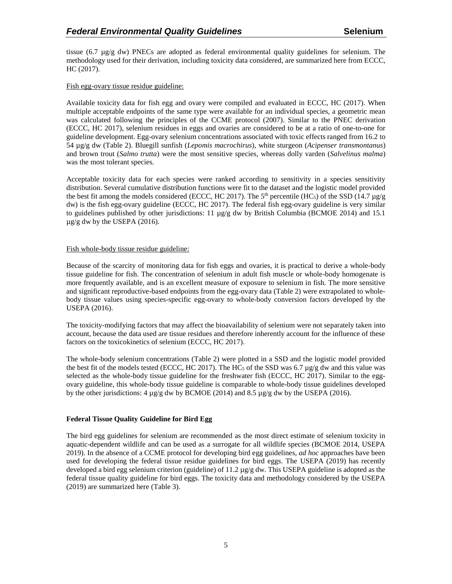tissue (6.7  $\mu$ g/g dw) PNECs are adopted as federal environmental quality guidelines for selenium. The methodology used for their derivation, including toxicity data considered, are summarized here from ECCC, HC (2017).

## Fish egg-ovary tissue residue guideline:

Available toxicity data for fish egg and ovary were compiled and evaluated in ECCC, HC (2017). When multiple acceptable endpoints of the same type were available for an individual species, a geometric mean was calculated following the principles of the CCME protocol (2007). Similar to the PNEC derivation (ECCC, HC 2017), selenium residues in eggs and ovaries are considered to be at a ratio of one-to-one for guideline development. Egg-ovary selenium concentrations associated with toxic effects ranged from 16.2 to 54 µg/g dw (Table 2). Bluegill sunfish (*Lepomis macrochirus*), white sturgeon (*Acipenser transmontanus*) and brown trout (*Salmo trutta*) were the most sensitive species, whereas dolly varden (*Salvelinus malma*) was the most tolerant species.

Acceptable toxicity data for each species were ranked according to sensitivity in a species sensitivity distribution. Several cumulative distribution functions were fit to the dataset and the logistic model provided the best fit among the models considered (ECCC, HC 2017). The 5<sup>th</sup> percentile (HC<sub>5</sub>) of the SSD (14.7  $\mu$ g/g dw) is the fish egg-ovary guideline (ECCC, HC 2017). The federal fish egg-ovary guideline is very similar to guidelines published by other jurisdictions: 11  $\mu$ g/g dw by British Columbia (BCMOE 2014) and 15.1  $\mu$ g/g dw by the USEPA (2016).

## Fish whole-body tissue residue guideline:

Because of the scarcity of monitoring data for fish eggs and ovaries, it is practical to derive a whole-body tissue guideline for fish. The concentration of selenium in adult fish muscle or whole-body homogenate is more frequently available, and is an excellent measure of exposure to selenium in fish. The more sensitive and significant reproductive-based endpoints from the egg-ovary data (Table 2) were extrapolated to wholebody tissue values using species-specific egg-ovary to whole-body conversion factors developed by the USEPA (2016).

The toxicity-modifying factors that may affect the bioavailability of selenium were not separately taken into account, because the data used are tissue residues and therefore inherently account for the influence of these factors on the toxicokinetics of selenium (ECCC, HC 2017).

The whole-body selenium concentrations (Table 2) were plotted in a SSD and the logistic model provided the best fit of the models tested (ECCC, HC 2017). The HC<sub>5</sub> of the SSD was 6.7  $\mu$ g/g dw and this value was selected as the whole-body tissue guideline for the freshwater fish (ECCC, HC 2017). Similar to the eggovary guideline, this whole-body tissue guideline is comparable to whole-body tissue guidelines developed by the other jurisdictions: 4 µg/g dw by BCMOE (2014) and 8.5 µg/g dw by the USEPA (2016).

## **Federal Tissue Quality Guideline for Bird Egg**

The bird egg guidelines for selenium are recommended as the most direct estimate of selenium toxicity in aquatic-dependent wildlife and can be used as a surrogate for all wildlife species (BCMOE 2014, USEPA 2019). In the absence of a CCME protocol for developing bird egg guidelines, *ad hoc* approaches have been used for developing the federal tissue residue guidelines for bird eggs. The USEPA (2019) has recently developed a bird egg selenium criterion (guideline) of 11.2 µg/g dw. This USEPA guideline is adopted as the federal tissue quality guideline for bird eggs. The toxicity data and methodology considered by the USEPA (2019) are summarized here (Table 3).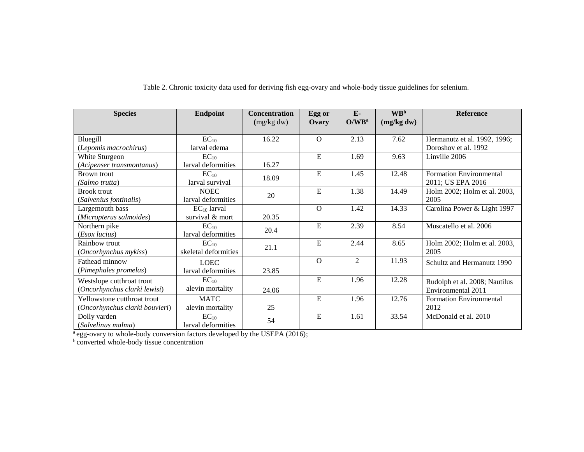| <b>Species</b>                 | <b>Endpoint</b>      | <b>Concentration</b> | Egg or   | $E-$              | <b>WB</b> <sup>b</sup> | <b>Reference</b>               |
|--------------------------------|----------------------|----------------------|----------|-------------------|------------------------|--------------------------------|
|                                |                      | (mg/kg dw)           | Ovary    | O/WB <sup>a</sup> | (mg/kg dw)             |                                |
| Bluegill                       | $EC_{10}$            | 16.22                | $\Omega$ | 2.13              | 7.62                   | Hermanutz et al. 1992, 1996;   |
| (Lepomis macrochirus)          | larval edema         |                      |          |                   |                        | Doroshov et al. 1992           |
| White Sturgeon                 | $EC_{10}$            |                      | E        | 1.69              | 9.63                   | Linville 2006                  |
| (Acipenser transmontanus)      | larval deformities   | 16.27                |          |                   |                        |                                |
| Brown trout                    | $EC_{10}$            | 18.09                | E        | 1.45              | 12.48                  | <b>Formation Environmental</b> |
| (Salmo trutta)                 | larval survival      |                      |          |                   |                        | 2011; US EPA 2016              |
| <b>Brook trout</b>             | <b>NOEC</b>          | 20                   | E        | 1.38              | 14.49                  | Holm 2002; Holm et al. 2003,   |
| (Salvenius fontinalis)         | larval deformities   |                      |          |                   |                        | 2005                           |
| Largemouth bass                | $EC_{10}$ larval     |                      | $\Omega$ | 1.42              | 14.33                  | Carolina Power & Light 1997    |
| (Micropterus salmoides)        | survival & mort      | 20.35                |          |                   |                        |                                |
| Northern pike                  | $EC_{10}$            | 20.4                 | E        | 2.39              | 8.54                   | Muscatello et al. 2006         |
| (Esox lucius)                  | larval deformities   |                      |          |                   |                        |                                |
| Rainbow trout                  | $EC_{10}$            | 21.1                 | E        | 2.44              | 8.65                   | Holm 2002; Holm et al. 2003,   |
| <i>(Oncorhynchus mykiss)</i>   | skeletal deformities |                      |          |                   |                        | 2005                           |
| Fathead minnow                 | <b>LOEC</b>          |                      | $\Omega$ | 2                 | 11.93                  | Schultz and Hermanutz 1990     |
| (Pimephales promelas)          | larval deformities   | 23.85                |          |                   |                        |                                |
| Westslope cutthroat trout      | $EC_{10}$            |                      | E        | 1.96              | 12.28                  | Rudolph et al. 2008; Nautilus  |
| (Oncorhynchus clarki lewisi)   | alevin mortality     | 24.06                |          |                   |                        | Environmental 2011             |
| Yellowstone cutthroat trout    | <b>MATC</b>          |                      | E        | 1.96              | 12.76                  | <b>Formation Environmental</b> |
| (Oncorhynchus clarki bouvieri) | alevin mortality     | 25                   |          |                   |                        | 2012                           |
| Dolly varden                   | $EC_{10}$            | 54                   | E        | 1.61              | 33.54                  | McDonald et al. 2010           |
| (Salvelinus malma)             | larval deformities   |                      |          |                   |                        |                                |

Table 2. Chronic toxicity data used for deriving fish egg-ovary and whole-body tissue guidelines for selenium.

aegg-ovary to whole-body conversion factors developed by the USEPA (2016);

**b** converted whole-body tissue concentration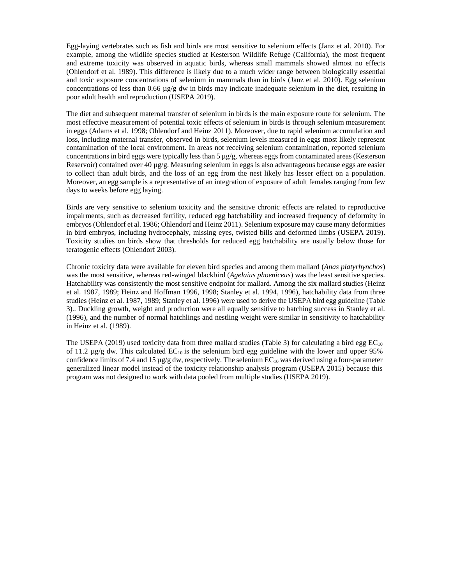Egg-laying vertebrates such as fish and birds are most sensitive to selenium effects (Janz et al. 2010). For example, among the wildlife species studied at Kesterson Wildlife Refuge (California), the most frequent and extreme toxicity was observed in aquatic birds, whereas small mammals showed almost no effects (Ohlendorf et al. 1989). This difference is likely due to a much wider range between biologically essential and toxic exposure concentrations of selenium in mammals than in birds (Janz et al. 2010). Egg selenium concentrations of less than 0.66 µg/g dw in birds may indicate inadequate selenium in the diet, resulting in poor adult health and reproduction (USEPA 2019).

The diet and subsequent maternal transfer of selenium in birds is the main exposure route for selenium. The most effective measurement of potential toxic effects of selenium in birds is through selenium measurement in eggs (Adams et al. 1998; Ohlendorf and Heinz 2011). Moreover, due to rapid selenium accumulation and loss, including maternal transfer, observed in birds, selenium levels measured in eggs most likely represent contamination of the local environment. In areas not receiving selenium contamination, reported selenium concentrations in bird eggs were typically less than  $5 \mu g/g$ , whereas eggs from contaminated areas (Kesterson Reservoir) contained over 40  $\mu$ g/g. Measuring selenium in eggs is also advantageous because eggs are easier to collect than adult birds, and the loss of an egg from the nest likely has lesser effect on a population. Moreover, an egg sample is a representative of an integration of exposure of adult females ranging from few days to weeks before egg laying.

Birds are very sensitive to selenium toxicity and the sensitive chronic effects are related to reproductive impairments, such as decreased fertility, reduced egg hatchability and increased frequency of deformity in embryos (Ohlendorf et al. 1986; Ohlendorf and Heinz 2011). Selenium exposure may cause many deformities in bird embryos, including hydrocephaly, missing eyes, twisted bills and deformed limbs (USEPA 2019). Toxicity studies on birds show that thresholds for reduced egg hatchability are usually below those for teratogenic effects (Ohlendorf 2003).

Chronic toxicity data were available for eleven bird species and among them mallard (*Anas platyrhynchos*) was the most sensitive, whereas red-winged blackbird (*Agelaius phoeniceus*) was the least sensitive species. Hatchability was consistently the most sensitive endpoint for mallard. Among the six mallard studies (Heinz et al. 1987, 1989; Heinz and Hoffman 1996, 1998; Stanley et al. 1994, 1996), hatchability data from three studies (Heinz et al. 1987, 1989; Stanley et al. 1996) were used to derive the USEPA bird egg guideline (Table 3).. Duckling growth, weight and production were all equally sensitive to hatching success in Stanley et al. (1996), and the number of normal hatchlings and nestling weight were similar in sensitivity to hatchability in Heinz et al. (1989).

The USEPA (2019) used toxicity data from three mallard studies (Table 3) for calculating a bird egg  $EC_{10}$ of 11.2  $\mu$ g/g dw. This calculated EC<sub>10</sub> is the selenium bird egg guideline with the lower and upper 95% confidence limits of 7.4 and 15  $\mu$ g/g dw, respectively. The selenium EC<sub>10</sub> was derived using a four-parameter generalized linear model instead of the toxicity relationship analysis program (USEPA 2015) because this program was not designed to work with data pooled from multiple studies (USEPA 2019).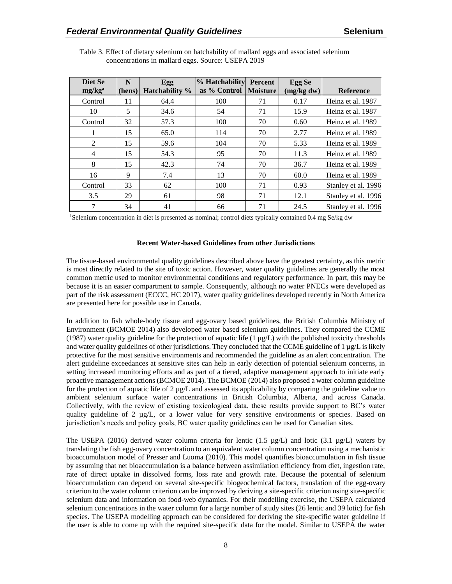| Diet Se<br>mg/kg <sup>a</sup> | N<br>(hens) | Egg<br><b>Hatchability</b> % | <b>% Hatchability Percent</b><br>as % Control | <b>Moisture</b> | Egg Se<br>(mg/kg dw) | <b>Reference</b>    |
|-------------------------------|-------------|------------------------------|-----------------------------------------------|-----------------|----------------------|---------------------|
| Control                       | 11          | 64.4                         | 100                                           | 71              | 0.17                 | Heinz et al. 1987   |
| 10                            | 5           | 34.6                         | 54                                            | 71              | 15.9                 | Heinz et al. 1987   |
| Control                       | 32          | 57.3                         | 100                                           | 70              | 0.60                 | Heinz et al. 1989   |
|                               | 15          | 65.0                         | 114                                           | 70              | 2.77                 | Heinz et al. 1989   |
| 2                             | 15          | 59.6                         | 104                                           | 70              | 5.33                 | Heinz et al. 1989   |
| $\overline{4}$                | 15          | 54.3                         | 95                                            | 70              | 11.3                 | Heinz et al. 1989   |
| 8                             | 15          | 42.3                         | 74                                            | 70              | 36.7                 | Heinz et al. 1989   |
| 16                            | 9           | 7.4                          | 13                                            | 70              | 60.0                 | Heinz et al. 1989   |
| Control                       | 33          | 62                           | 100                                           | 71              | 0.93                 | Stanley et al. 1996 |
| 3.5                           | 29          | 61                           | 98                                            | 71              | 12.1                 | Stanley et al. 1996 |
| 7                             | 34          | 41                           | 66                                            | 71              | 24.5                 | Stanley et al. 1996 |

Table 3. Effect of dietary selenium on hatchability of mallard eggs and associated selenium concentrations in mallard eggs. Source: USEPA 2019

<sup>1</sup>Selenium concentration in diet is presented as nominal; control diets typically contained 0.4 mg Se/kg dw

#### **Recent Water-based Guidelines from other Jurisdictions**

The tissue-based environmental quality guidelines described above have the greatest certainty, as this metric is most directly related to the site of toxic action. However, water quality guidelines are generally the most common metric used to monitor environmental conditions and regulatory performance. In part, this may be because it is an easier compartment to sample. Consequently, although no water PNECs were developed as part of the risk assessment (ECCC, HC 2017), water quality guidelines developed recently in North America are presented here for possible use in Canada.

In addition to fish whole-body tissue and egg-ovary based guidelines, the British Columbia Ministry of Environment (BCMOE 2014) also developed water based selenium guidelines. They compared the CCME (1987) water quality guideline for the protection of aquatic life (1  $\mu$ g/L) with the published toxicity thresholds and water quality guidelines of other jurisdictions. They concluded that the CCME guideline of  $1 \mu g/L$  is likely protective for the most sensitive environments and recommended the guideline as an alert concentration. The alert guideline exceedances at sensitive sites can help in early detection of potential selenium concerns, in setting increased monitoring efforts and as part of a tiered, adaptive management approach to initiate early proactive management actions (BCMOE 2014). The BCMOE (2014) also proposed a water column guideline for the protection of aquatic life of 2  $\mu$ g/L and assessed its applicability by comparing the guideline value to ambient selenium surface water concentrations in British Columbia, Alberta, and across Canada. Collectively, with the review of existing toxicological data, these results provide support to BC's water quality guideline of 2  $\mu$ g/L, or a lower value for very sensitive environments or species. Based on jurisdiction's needs and policy goals, BC water quality guidelines can be used for Canadian sites.

The USEPA (2016) derived water column criteria for lentic (1.5  $\mu$ g/L) and lotic (3.1  $\mu$ g/L) waters by translating the fish egg-ovary concentration to an equivalent water column concentration using a mechanistic bioaccumulation model of Presser and Luoma (2010). This model quantifies bioaccumulation in fish tissue by assuming that net bioaccumulation is a balance between assimilation efficiency from diet, ingestion rate, rate of direct uptake in dissolved forms, loss rate and growth rate. Because the potential of selenium bioaccumulation can depend on several site-specific biogeochemical factors, translation of the egg-ovary criterion to the water column criterion can be improved by deriving a site-specific criterion using site-specific selenium data and information on food-web dynamics. For their modelling exercise, the USEPA calculated selenium concentrations in the water column for a large number of study sites (26 lentic and 39 lotic) for fish species. The USEPA modelling approach can be considered for deriving the site-specific water guideline if the user is able to come up with the required site-specific data for the model. Similar to USEPA the water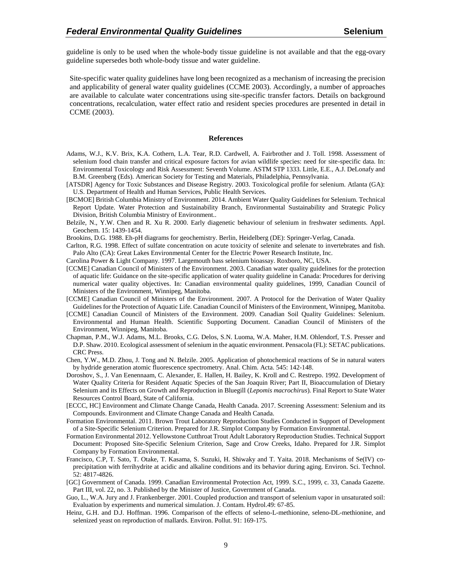guideline is only to be used when the whole-body tissue guideline is not available and that the egg-ovary guideline supersedes both whole-body tissue and water guideline.

Site-specific water quality guidelines have long been recognized as a mechanism of increasing the precision and applicability of general water quality guidelines (CCME 2003). Accordingly, a number of approaches are available to calculate water concentrations using site-specific transfer factors. Details on background concentrations, recalculation, water effect ratio and resident species procedures are presented in detail in CCME (2003).

#### **References**

- Adams, W.J., K.V. Brix, K.A. Cothern, L.A. Tear, R.D. Cardwell, A. Fairbrother and J. Toll. 1998. Assessment of selenium food chain transfer and critical exposure factors for avian wildlife species: need for site-specific data. In: Environmental Toxicology and Risk Assessment: Seventh Volume. ASTM STP 1333. Little, E.E., A.J. DeLonafy and B.M. Greenberg (Eds). American Society for Testing and Materials, Philadelphia, Pennsylvania.
- [ATSDR] Agency for Toxic Substances and Disease Registry. 2003. Toxicological profile for selenium. Atlanta (GA): U.S. Department of Health and Human Services, Public Health Services.
- [BCMOE] British Columbia Ministry of Environment. 2014. Ambient Water Quality Guidelines for Selenium. Technical Report Update. Water Protection and Sustainability Branch, Environmental Sustainability and Strategic Policy Division, British Columbia Ministry of Environment..
- Belzile, N., Y.W. Chen and R. Xu R. 2000. Early diagenetic behaviour of selenium in freshwater sediments. Appl. Geochem. 15: 1439-1454.
- Brookins, D.G. 1988. Eh-pH diagrams for geochemistry. Berlin, Heidelberg (DE): Springer-Verlag, Canada.
- Carlton, R.G. 1998. Effect of sulfate concentration on acute toxicity of selenite and selenate to invertebrates and fish. Palo Alto (CA): Great Lakes Environmental Center for the Electric Power Research Institute, Inc.
- Carolina Power & Light Company. 1997. Largemouth bass selenium bioassay. Roxboro, NC, USA.
- [CCME] Canadian Council of Ministers of the Environment. 2003. Canadian water quality guidelines for the protection of aquatic life: Guidance on the site-specific application of water quality guideline in Canada: Procedures for deriving numerical water quality objectives. In: Canadian environmental quality guidelines, 1999, Canadian Council of Ministers of the Environment, Winnipeg, Manitoba.
- [CCME] Canadian Council of Ministers of the Environment. 2007. A Protocol for the Derivation of Water Quality Guidelines for the Protection of Aquatic Life. Canadian Council of Ministers of the Environment, Winnipeg, Manitoba.
- [CCME] Canadian Council of Ministers of the Environment. 2009. Canadian Soil Quality Guidelines: Selenium. Environmental and Human Health. Scientific Supporting Document. Canadian Council of Ministers of the Environment, Winnipeg, Manitoba.
- Chapman, P.M., W.J. Adams, M.L. Brooks, C.G. Delos, S.N. Luoma, W.A. Maher, H.M. Ohlendorf, T.S. Presser and D.P. Shaw. 2010. Ecological assessment of selenium in the aquatic environment. Pensacola (FL): SETAC publications. CRC Press.
- Chen, Y.W., M.D. Zhou, J. Tong and N. Belzile. 2005. Application of photochemical reactions of Se in natural waters by hydride generation atomic fluorescence spectrometry. Anal. Chim. Acta. 545: 142-148.
- Doroshov, S., J. Van Eenennaam, C. Alexander, E. Hallen, H. Bailey, K. Kroll and C. Restrepo. 1992. Development of Water Quality Criteria for Resident Aquatic Species of the San Joaquin River; Part II, Bioaccumulation of Dietary Selenium and its Effects on Growth and Reproduction in Bluegill (*Lepomis macrochirus*). Final Report to State Water Resources Control Board, State of California.
- [ECCC, HC] Environment and Climate Change Canada, Health Canada. 2017. Screening Assessment: Selenium and its Compounds. Environment and Climate Change Canada and Health Canada.
- Formation Environmental. 2011. Brown Trout Laboratory Reproduction Studies Conducted in Support of Development of a Site-Specific Selenium Criterion. Prepared for J.R. Simplot Company by Formation Environmental.
- Formation Environmental 2012. Yellowstone Cutthroat Trout Adult Laboratory Reproduction Studies. Technical Support Document: Proposed Site-Specific Selenium Criterion, Sage and Crow Creeks, Idaho. Prepared for J.R. Simplot Company by Formation Environmental.
- Francisco, C.P, T. Sato, T. Otake, T. Kasama, S. Suzuki, H. Shiwaky and T. Yaita. 2018. Mechanisms of Se(IV) coprecipitation with ferrihydrite at acidic and alkaline conditions and its behavior during aging. Environ. Sci. Technol. 52: 4817-4826.
- [GC] Government of Canada. 1999. Canadian Environmental Protection Act, 1999. S.C., 1999, c. 33, Canada Gazette. Part III, vol. 22, no. 3. Published by the Minister of Justice, Government of Canada.
- Guo, L., W.A. Jury and J. Frankenberger. 2001. Coupled production and transport of selenium vapor in unsaturated soil: Evaluation by experiments and numerical simulation. J. Contam. Hydrol.49: 67-85.
- Heinz, G.H. and D.J. Hoffman. 1996. Comparison of the effects of seleno-L-methionine, seleno-DL-methionine, and selenized yeast on reproduction of mallards. Environ. Pollut. 91: 169-175.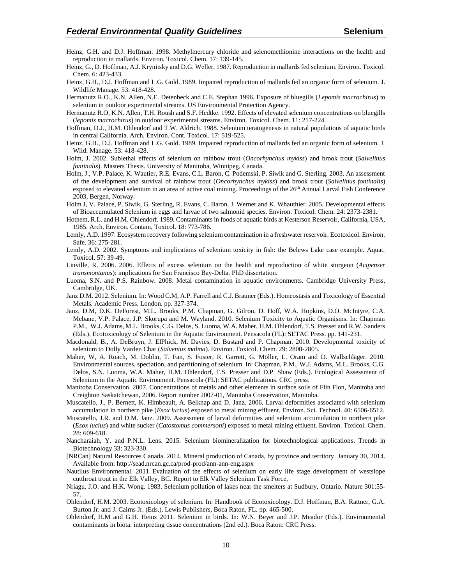- Heinz, G.H. and D.J. Hoffman. 1998. Methylmercury chloride and selenomethionine interactions on the health and reproduction in mallards. Environ. Toxicol. Chem. 17: 139-145.
- Heinz, G., D. Hoffman, A.J. Krynitsky and D.G. Weller. 1987. Reproduction in mallards fed selenium. Environ. Toxicol. Chem. 6: 423-433.
- Heinz, G.H., D.J. Hoffman and L.G. Gold. 1989. Impaired reproduction of mallards fed an organic form of selenium*.* J. Wildlife Manage. 53: 418-428.

Hermanutz R.O., K.N. Allen, N.E. Detenbeck and C.E. Stephan 1996. Exposure of bluegills (*Lepomis macrochirus*) to selenium in outdoor experimental streams. US Environmental Protection Agency.

- Hermanutz R.O, K.N. Allen, T.H. Roush and S.F. Hedtke. 1992. Effects of elevated selenium concentrations on bluegills (*lepomis macrochirus*) in outdoor experimental streams. Environ. Toxicol. Chem. 11: 217-224.
- Hoffman, D.J., H.M. Ohlendorf and T.W. Aldrich. 1988. Selenium teratogenesis in natural populations of aquatic birds in central California. Arch. Environ. Cont. Toxicol. 17: 519-525.
- Heinz, G.H., D.J. Hoffman and L.G. Gold. 1989. Impaired reproduction of mallards fed an organic form of selenium. J. Wild. Manage. 53: 418-428.
- Holm, J. 2002. Sublethal effects of selenium on rainbow trout (*Oncorhynchus mykiss*) and brook trout (*Salvelinus fontinalis*). Masters Thesis. University of Manitoba, Winnipeg, Canada.
- Holm, J., V.P. Palace, K. Wautier, R.E. Evans, C.L. Baron, C. Podemski, P. Siwik and G. Sterling. 2003. An assessment of the development and survival of rainbow trout (*Oncorhynchus mykiss*) and brook trout (*Salvelinus fontinalis*) exposed to elevated selenium in an area of active coal mining. Proceedings of the 26<sup>th</sup> Annual Larval Fish Conference 2003, Bergen, Norway.
- Holm J, V. Palace, P. Siwik, G. Sterling, R. Evans, C. Baron, J. Werner and K. Whauthier. 2005. Developmental effects of Bioaccumulated Selenium in eggs and larvae of two salmonid species. Environ. Toxicol. Chem. 24: 2373-2381.
- Hothem, R.L. and H.M. Ohlendorf. 1989. Contaminants in foods of aquatic birds at Kesterson Reservoir, California, USA, 1985. Arch. Environ. Contam. Toxicol. 18: 773-786.
- Lemly, A.D. 1997. Ecosystem recovery following selenium contamination in a freshwater reservoir. Ecotoxicol. Environ. Safe. 36: 275-281.
- Lemly, A.D. 2002. Symptoms and implications of selenium toxicity in fish: the Belews Lake case example. Aquat. Toxicol. 57: 39-49.
- Linville, R. 2006. 2006. Effects of excess selenium on the health and reproduction of white sturgeon (*Acipenser transmontanus*): implications for San Francisco Bay-Delta. PhD dissertation.
- Luoma, S.N. and P.S. Rainbow. 2008. Metal contamination in aquatic environments. Cambridge University Press, Cambridge, UK.
- Janz D.M. 2012. Selenium. In: Wood C.M, A.P. Farrell and C.J. Brauner (Eds.). Homeostasis and Toxicology of Essential Metals. Academic Press. London. pp. 327-374.
- Janz, D.M, D.K. DeForest, M.L. Brooks, P.M. Chapman, G. Gilron, D. Hoff, W.A. Hopkins, D.O. McIntyre, C.A. Mebane, V.P. Palace, J.P. Skorupa and M. Wayland. 2010. Selenium Toxicity to Aquatic Organisms. In: Chapman P.M., W.J. Adams, M.L. Brooks, C.G. Delos, S. Luoma, W.A. Maher, H.M. Ohlendorf, T.S. Presser and R.W. Sanders (Eds.). Ecotoxicology of Selenium in the Aquatic Environment. Pensacola (FL): SETAC Press. pp. 141-231.
- Macdonald, B., A. DeBruyn, J. ElPhick, M. Davies, D. Bustard and P. Chapman. 2010. Developmental toxicity of selenium to Dolly Varden Char (*Salvenius malma*). Environ. Toxicol. Chem. 29: 2800-2805.
- Maher, W, A. Roach, M. Doblin, T. Fan, S. Foster, R. Garrett, G. Möller, L. Oram and D. Wallschläger. 2010. Environmental sources, speciation, and partitioning of selenium. In: Chapman, P.M., W.J. Adams, M.L. Brooks, C.G. Delos, S.N. Luoma, W.A. Maher, H.M. Ohlendorf, T.S. Presser and D.P. Shaw (Eds.). Ecological Assessment of Selenium in the Aquatic Environment. Pensacola (FL): SETAC publications. CRC press.
- Manitoba Conservation. 2007. Concentrations of metals and other elements in surface soils of Flin Flon, Manitoba and Creighton Saskatchewan, 2006. Report number 2007-01, Manitoba Conservation, Manitoba.
- Muscatello, J., P. Bernett, K. Himbeault, A. Belknap and D. Janz. 2006. Larval deformities associated with selenium accumulation in northern pike (*Esox lucius*) exposed to metal mining effluent. Environ. Sci. Technol. 40: 6506-6512.
- Muscatello, J.R. and D.M. Janz. 2009. Assessment of larval deformities and selenium accumulation in northern pike (*Esox lucius*) and white sucker (*Catostomus commersoni*) exposed to metal mining effluent. Environ. Toxicol. Chem. 28: 609-618.
- Nancharaiah, Y. and P.N.L. Lens. 2015. Selenium biomineralization for biotechnological applications. Trends in Biotechnology 33: 323-330.
- [NRCan] Natural Resources Canada. 2014. Mineral production of Canada, by province and territory. January 30, 2014. Available from: http://sead.nrcan.gc.ca/prod-prod/ann-ann-eng.aspx
- Nautilus Environmental. 2011. Evaluation of the effects of selenium on early life stage development of westslope cutthroat trout in the Elk Valley, BC. Report to Elk Valley Selenium Task Force,
- Nriagu, J.O. and H.K. Wong. 1983. Selenium pollution of lakes near the smelters at Sudbury, Ontario. Nature 301:55- 57.
- Ohlendorf, H.M. 2003. Ecotoxicology of selenium. In: Handbook of Ecotoxicology. D.J. Hoffman, B.A. Rattner, G.A. Burton Jr. and J. Cairns Jr. (Eds.). Lewis Publishers, Boca Raton, FL. pp. 465-500.
- Ohlendorf, H.M and G.H. Heinz 2011. Selenium in birds. In: W.N. Beyer and J.P. Meador (Eds.). Environmental contaminants in biota: interpreting tissue concentrations (2nd ed.). Boca Raton: CRC Press.